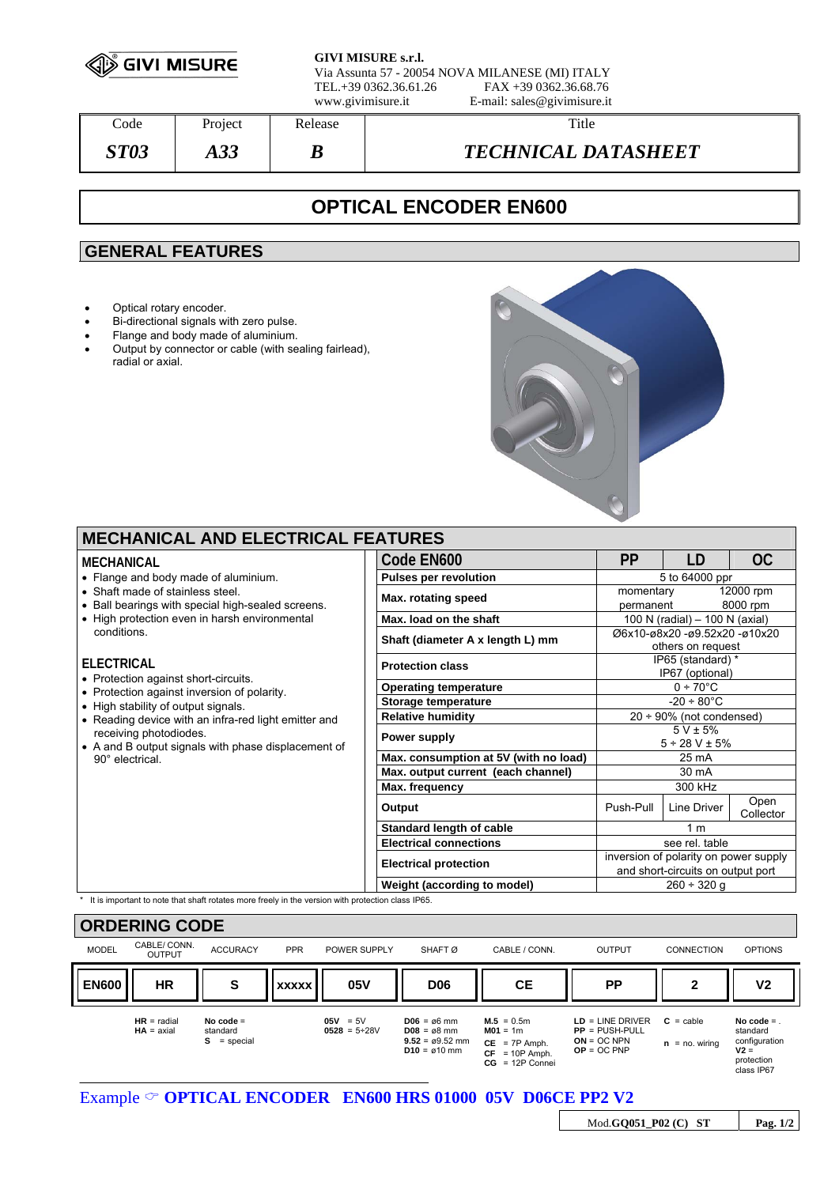

**GIVI MISURE s.r.l.**

Via Assunta 57 - 20054 NOVA MILANESE (MI) ITALY TEL.+39 0362.36.61.26 www.givimisure.it E-mail: sales@givimisure.it

| Code        | Project    | Release | Title                      |
|-------------|------------|---------|----------------------------|
| <b>ST03</b> | റ വ<br>AJJ | D       | <b>TECHNICAL DATASHEET</b> |

# **OPTICAL ENCODER EN600**

### **GENERAL FEATURES**

- Optical rotary encoder.
- Bi-directional signals with zero pulse.
- Flange and body made of aluminium.<br>• Output by connector or cable (with se
- Output by connector or cable (with sealing fairlead), radial or axial.



| <b>MECHANICAL AND ELECTRICAL FEATURES</b>                                                           |                                       |                                                    |             |                       |
|-----------------------------------------------------------------------------------------------------|---------------------------------------|----------------------------------------------------|-------------|-----------------------|
| MECHANICAL                                                                                          | Code EN600                            | PP                                                 | LD          | OC                    |
| • Flange and body made of aluminium.                                                                | <b>Pulses per revolution</b>          | 5 to 64000 ppr                                     |             |                       |
| • Shaft made of stainless steel.<br>• Ball bearings with special high-sealed screens.               | Max. rotating speed                   | momentary<br>permanent                             |             | 12000 rpm<br>8000 rpm |
| • High protection even in harsh environmental                                                       | Max. load on the shaft                | 100 N (radial) $-$ 100 N (axial)                   |             |                       |
| conditions.                                                                                         | Shaft (diameter A x length L) mm      | Ø6x10-ø8x20 -ø9.52x20 -ø10x20<br>others on request |             |                       |
| <b>ELECTRICAL</b><br>• Protection against short-circuits.                                           | <b>Protection class</b>               | IP65 (standard) *<br>IP67 (optional)               |             |                       |
| • Protection against inversion of polarity.                                                         | <b>Operating temperature</b>          | $0 \div 70^{\circ}$ C                              |             |                       |
| • High stability of output signals.                                                                 | Storage temperature                   | $-20 \div 80^{\circ}$ C                            |             |                       |
| • Reading device with an infra-red light emitter and                                                | <b>Relative humidity</b>              | $20 \div 90\%$ (not condensed)                     |             |                       |
| receiving photodiodes.<br>• A and B output signals with phase displacement of                       | Power supply                          | $5 V \pm 5%$<br>$5 \div 28$ V $\pm$ 5%             |             |                       |
| 90° electrical.                                                                                     | Max. consumption at 5V (with no load) | 25 mA                                              |             |                       |
|                                                                                                     | Max. output current (each channel)    | 30 mA                                              |             |                       |
|                                                                                                     | Max. frequency                        |                                                    |             |                       |
|                                                                                                     | Output                                | Push-Pull                                          | Line Driver | Open<br>Collector     |
|                                                                                                     | Standard length of cable              | 1 <sub>m</sub><br>see rel. table                   |             |                       |
|                                                                                                     | <b>Electrical connections</b>         |                                                    |             |                       |
|                                                                                                     | <b>Electrical protection</b>          | inversion of polarity on power supply              |             |                       |
|                                                                                                     |                                       | and short-circuits on output port                  |             |                       |
|                                                                                                     | Weight (according to model)           | $260 \div 320$ q                                   |             |                       |
| * It is important to note that shaft rotates more freely in the version with protection class IP65. |                                       |                                                    |             |                       |

| <b>ORDERING CODE</b> |                               |                                          |              |                                   |                                                                                                           |                                                                                        |                                                                          |                                           |                                                                                |
|----------------------|-------------------------------|------------------------------------------|--------------|-----------------------------------|-----------------------------------------------------------------------------------------------------------|----------------------------------------------------------------------------------------|--------------------------------------------------------------------------|-------------------------------------------|--------------------------------------------------------------------------------|
| <b>MODEL</b>         | CABLE/ CONN.<br><b>OUTPUT</b> | <b>ACCURACY</b>                          | <b>PPR</b>   | POWER SUPPLY                      | SHAFT <sub>Ø</sub>                                                                                        | CABLE / CONN.                                                                          | <b>OUTPUT</b>                                                            | <b>CONNECTION</b>                         | <b>OPTIONS</b>                                                                 |
| <b>EN600</b>         | HR                            | S                                        | <b>XXXXX</b> | 05V                               | <b>D06</b>                                                                                                | <b>CE</b>                                                                              | <b>PP</b>                                                                | 2                                         | V2                                                                             |
|                      | $HR = radial$<br>$HA = axial$ | No code $=$<br>standard<br>$S = special$ |              | $05V = 5V$<br>$0528 = 5 \div 28V$ | $D06 = \emptyset 6$ mm<br>$D08 = \emptyset 8$ mm<br>$9.52 = \emptyset 9.52$ mm<br>$D10 = \emptyset 10$ mm | $M.5 = 0.5m$<br>$M01 = 1m$<br>$CE = 7P$ Amph.<br>$CF = 10P$ Amph.<br>$CG = 12P$ Connei | $LD = LINE DRIVER$<br>$PP = PUSH-PULL$<br>$ON = OC NPN$<br>$OP = OC PNP$ | $C = \text{cable}$<br>$=$ no. wiring<br>n | No code $=$<br>standard<br>configuration<br>$V2 =$<br>protection<br>class IP67 |

Mod.**GQ051\_P02 (C) ST Pag. 1/2**